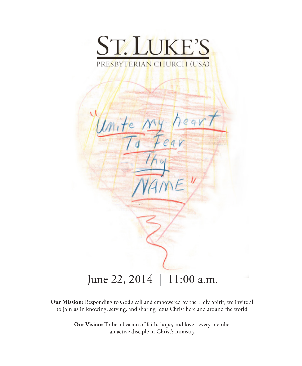

 $l/m$ June 22, 2014 | 11:00 a.m.

**Our Mission:** Responding to God's call and empowered by the Holy Spirit, we invite all to join us in knowing, serving, and sharing Jesus Christ here and around the world.

> **Our Vision:** To be a beacon of faith, hope, and love – every member an active disciple in Christ's ministry.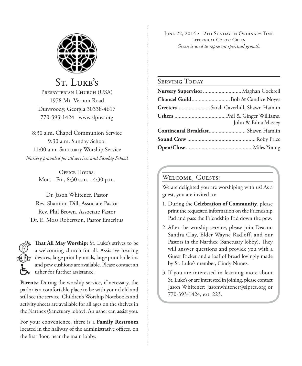

St. LUKE'S PRESBYTERIAN CHURCH (USA) 1978 Mt. Vernon Road Dunwoody, Georgia 30338-4617 770-393-1424 www.slpres.org

8:30 a.m. Chapel Communion Service 9:30 a.m. Sunday School 11:00 a.m. Sanctuary Worship Service *Nursery provided for all services and Sunday School*

> OFFICE HOURS' Mon. - Fri., 8:30 a.m. - 4:30 p.m.

Dr. Jason Whitener, Pastor Rev. Shannon Dill, Associate Pastor Rev. Phil Brown, Associate Pastor Dr. E. Moss Robertson, Pastor Emeritus



**That All May Worship:** St. Luke's strives to be a welcoming church for all. Assistive hearing devices, large print hymnals, large print bulletins and pew cushions are available. Please contact an usher for further assistance.

**Parents:** During the worship service, if necessary, the parlor is a comfortable place to be with your child and still see the service. Children's Worship Notebooks and activity sheets are available for all ages on the shelves in the Narthex (Sanctuary lobby). An usher can assist you.

For your convenience, there is a **Family Restroom** located in the hallway of the administrative offices, on the first floor, near the main lobby.

June 22, 2014 • 12th Sunday in Ordinary Time Liturgical Color: Green *Green is used to represent spiritual growth.* 

#### SERVING TODAY

| Nursery Supervisor  Maghan Cockrell   |
|---------------------------------------|
|                                       |
| GreetersSarah Caverhill, Shawn Hamlin |
| John & Edna Massey                    |
|                                       |
|                                       |
|                                       |

#### WELCOME, GUESTS!

We are delighted you are worshiping with us! As a guest, you are invited to:

- 1. During the **Celebration of Community**, please print the requested information on the Friendship Pad and pass the Friendship Pad down the pew.
- 2. After the worship service, please join Deacon Sandra Clay, Elder Wayne Radloff, and our Pastors in the Narthex (Sanctuary lobby). They will answer questions and provide you with a Guest Packet and a loaf of bread lovingly made by St. Luke's member, Cindy Nunez.
- 3. If you are interested in learning more about St. Luke's or are interested in joining, please contact Jason Whitener: jasonwhitener@slpres.org or 770-393-1424, ext. 223.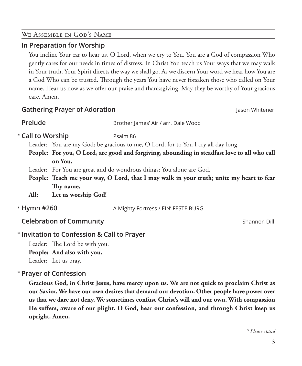## We Assemble in God's Name

## **In Preparation for Worship**

 You incline Your ear to hear us, O Lord, when we cry to You. You are a God of compassion Who gently cares for our needs in times of distress. In Christ You teach us Your ways that we may walk in Your truth. Your Spirit directs the way we shall go. As we discern Your word we hear how You are a God Who can be trusted. Through the years You have never forsaken those who called on Your name. Hear us now as we offer our praise and thanksgiving. May they be worthy of Your gracious care. Amen.

## **Gathering Prayer of Adoration** Jason Whitener

**Prelude** Brother James' Air / arr. Dale Wood

# **Call to Worship** Psalm 86

Leader: You are my God; be gracious to me, O Lord, for to You I cry all day long.

**People: For you, O Lord, are good and forgiving, abounding in steadfast love to all who call on You.**

Leader: For You are great and do wondrous things; You alone are God.

**People: Teach me your way, O Lord, that I may walk in your truth; unite my heart to fear Thy name.**

**All: Let us worship God!**

\* Hymn #260

**Hymn #260** A Mighty Fortress / EIN' FESTE BURG

**Celebration of Community Celebration of Community Shannon Dill** 

# **Invitation to Confession & Call to Prayer**  \*

Leader: The Lord be with you. **People: And also with you.** Leader: Let us pray.

# **Prayer of Confession**  \*

 **Gracious God, in Christ Jesus, have mercy upon us. We are not quick to proclaim Christ as our Savior. We have our own desires that demand our devotion. Other people have power over us that we dare not deny. We sometimes confuse Christ's will and our own. With compassion He suffers, aware of our plight. O God, hear our confession, and through Christ keep us upright. Amen.**

*\* Please stand*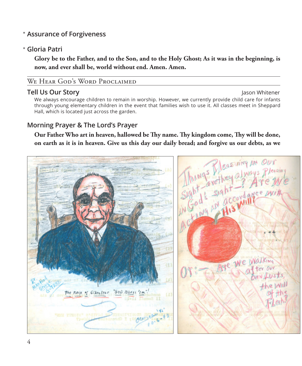# **Assurance of Forgiveness** \*

# **Gloria Patri** \*

 **Glory be to the Father, and to the Son, and to the Holy Ghost; As it was in the beginning, is now, and ever shall be, world without end. Amen. Amen.**

## WE HEAR GOD'S WORD PROCLAIMED

#### **Tell Us Our Story Jason Whitener**

 We always encourage children to remain in worship. However, we currently provide child care for infants through young elementary children in the event that families wish to use it. All classes meet in Sheppard Hall, which is located just across the garden.

# **Morning Prayer & The Lord's Prayer**

**on earth as it is in heaven. Give us this day our daily bread; and forgive us our debts, as we** 

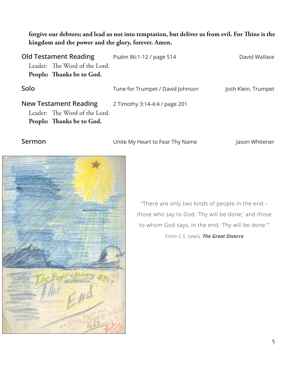## **forgive our debtors; and lead us not into temptation, but deliver us from evil. For Thine is the kingdom and the power and the glory, forever. Amen.**

| Psalm 86:1-12 / page 514         | David Wallace       |
|----------------------------------|---------------------|
|                                  |                     |
|                                  |                     |
| Tune for Trumpet / David Johnson | Josh Klein, Trumpet |
| 2 Timothy 3:14-4:4 / page 201    |                     |
|                                  |                     |
|                                  |                     |
| Leader: The Word of the Lord.    |                     |

**Sermon** Unite My Heart to Fear Thy Name Jason Whitener



"There are only two kinds of people in the end – those who say to God, 'Thy will be done,' and those to whom God says, in the end, 'Thy will be done.'" *From C.S. Lewis, The Great Divorce*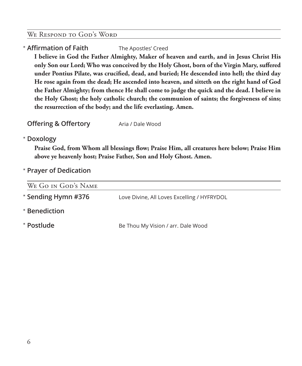## WE RESPOND TO GOD'S WORD

# \* **Affirmation of Faith** The Apostles' Creed

 **I believe in God the Father Almighty, Maker of heaven and earth, and in Jesus Christ His only Son our Lord; Who was conceived by the Holy Ghost, born of the Virgin Mary, suffered under Pontius Pilate, was crucified, dead, and buried; He descended into hell; the third day He rose again from the dead; He ascended into heaven, and sitteth on the right hand of God the Father Almighty; from thence He shall come to judge the quick and the dead. I believe in the Holy Ghost; the holy catholic church; the communion of saints; the forgiveness of sins; the resurrection of the body; and the life everlasting. Amen.**

**Offering & Offertory** Aria / Dale Wood

## \* **Doxology**

 **Praise God, from Whom all blessings flow; Praise Him, all creatures here below; Praise Him above ye heavenly host; Praise Father, Son and Holy Ghost. Amen.**

\* **Prayer of Dedication**

| WE GO IN GOD'S NAME |                                             |
|---------------------|---------------------------------------------|
| * Sending Hymn #376 | Love Divine, All Loves Excelling / HYFRYDOL |
| * Benediction       |                                             |
| * Postlude          | Be Thou My Vision / arr. Dale Wood          |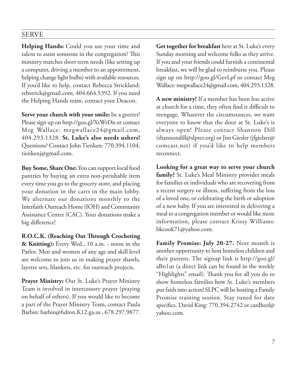# SERVE

**Helping Hands:** Could you use your time and talent to assist someone in the congregation? This ministry matches short term needs (like setting up a computer, driving a member to an appointment, helping change light bulbs) with available resources. If you'd like to help, contact Rebecca Strickland: rebstrick@gmail.com, 404.664.5392. If you need the Helping Hands team, contact your Deacon.

**Serve your church with your smile:** be a greeter! Please sign up on http://goo.gl/XtWrDn or contact Meg Wallace: megwallace24@gmail.com, 404.293.1328. **St. Luke's also needs ushers!** Questions? Contact John Tienken: 770.394.1104, tienkenj@gmail.com.

**Buy Some, Share One:** You can support local food pantries by buying an extra non-perishable item every time you go to the grocery store, and placing your donation in the carts in the main lobby. We alternate our donations monthly to the Interfaith Outreach Home (IOH) and Community Assistance Center (CAC). Your donations make a big difference!

**R.O.C.K. (Reaching Out Through Crocheting & Knitting):** Every Wed., 10 a.m. - noon in the Parlor. Men and women of any age and skill level are welcome to join us in making prayer shawls, layette sets, blankets, etc. for outreach projects.

**Prayer Ministry:** Our St. Luke's Prayer Ministry Team is involved in intercessory prayer (praying on behalf of others). If you would like to become a part of the Prayer Ministry Team, contact Paula Barbin: barbin@fulton.K12.ga.us , 678.297.9877.

**Get together for breakfast** here at St. Luke's every Sunday morning and welcome folks as they arrive. If you and your friends could furnish a continental breakfast, we will be glad to reimburse you. Please sign up on http://goo.gl/GevLpf or contact Meg Wallace: megwallace24@gmail.com, 404.293.1328.

**A new ministry!** If a member has been less active at church for a time, they often find it difficult to reengage. Whatever the circumstances, we want everyone to know that the door at St. Luke's is always open! Please contact Shannon Dill (shannondill@slpres.org) or Jim Giesler (jfgielser@ comcast.net) if you'd like to help members reconnect.

**Looking for a great way to serve your church family?** St. Luke's Meal Ministry provides meals for families or individuals who are recovering from a recent surgery or illness, suffering from the loss of a loved one, or celebrating the birth or adoption of a new baby. If you are interested in delivering a meal to a congregation member or would like more information, please contact Krissy Williams: bkcook71@yahoo.com.

**Family Promise: July 20-27.** Next month is another opportunity to host homeless children and their parents. The signup link is http://goo.gl/ aBn1ur (a direct link can be found in the weekly "Highlights" email). Thank you for all you do to show homeless families how St. Luke's members put faith into action! SLPC will be hosting a Family Promise training session. Stay tuned for date specifics. David King: 770.394.2742 or cardheel@ yahoo.com.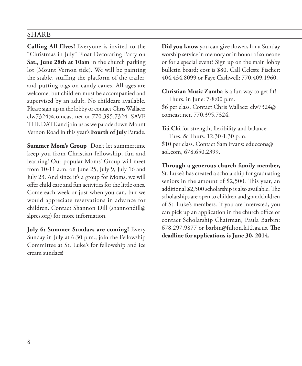## SHARE

**Calling All Elves!** Everyone is invited to the "Christmas in July" Float Decorating Party on **Sat., June 28th at 10am** in the church parking lot (Mount Vernon side). We will be painting the stable, stuffing the platform of the trailer, and putting tags on candy canes. All ages are welcome, but children must be accompanied and supervised by an adult. No childcare available. Please sign up in the lobby or contact Chris Wallace: clw7324@comcast.net or 770.395.7324. SAVE THE DATE and join us as we parade down Mount Vernon Road in this year's **Fourth of July** Parade.

**Summer Mom's Group** Don't let summertime keep you from Christian fellowship, fun and learning! Our popular Moms' Group will meet from 10-11 a.m. on June 25, July 9, July 16 and July 23. And since it's a group for Moms, we will offer child care and fun activities for the little ones. Come each week or just when you can, but we would appreciate reservations in advance for children. Contact Shannon Dill (shannondill@ slpres.org) for more information.

**July 6: Summer Sundaes are coming!** Every Sunday in July at 6:30 p.m., join the Fellowship Committee at St. Luke's for fellowship and ice cream sundaes!

**Did you know** you can give flowers for a Sunday worship service in memory or in honor of someone or for a special event? Sign up on the main lobby bulletin board; cost is \$80. Call Celeste Fischer: 404.434.8099 or Faye Cashwell: 770.409.1960.

**Christian Music Zumba** is a fun way to get fit! Thurs. in June: 7-8:00 p.m. \$6 per class. Contact Chris Wallace: clw7324@ comcast.net, 770.395.7324.

**Tai Chi** for strength, flexibility and balance: Tues. & Thurs. 12:30-1:30 p.m. \$10 per class. Contact Sam Evans: educcons@ aol.com, 678.650.2399.

**Through a generous church family member,** St. Luke's has created a scholarship for graduating seniors in the amount of \$2,500. This year, an additional \$2,500 scholarship is also available. The scholarships are open to children and grandchildren of St. Luke's members. If you are interested, you can pick up an application in the church office or contact Scholarship Chairman, Paula Barbin: 678.297.9877 or barbin@fulton.k12.ga.us. **The deadline for applications is June 30, 2014.**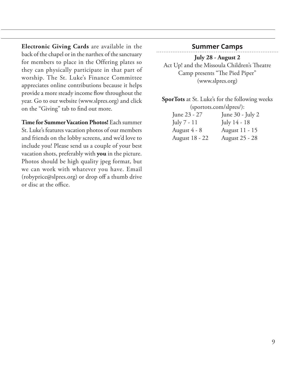**Electronic Giving Cards** are available in the back of the chapel or in the narthex of the sanctuary for members to place in the Offering plates so they can physically participate in that part of worship. The St. Luke's Finance Committee appreciates online contributions because it helps provide a more steady income flow throughout the year. Go to our website (www.slpres.org) and click on the "Giving" tab to find out more.

**Time for Summer Vacation Photos!** Each summer St. Luke's features vacation photos of our members and friends on the lobby screens, and we'd love to include you! Please send us a couple of your best vacation shots, preferably with **you** in the picture. Photos should be high quality jpeg format, but we can work with whatever you have. Email (robyprice@slpres.org) or drop off a thumb drive or disc at the office.

## **Summer Camps**

**July 28 - August 2**  Act Up! and the Missoula Children's Theatre Camp presents "The Pied Piper" (www.slpres.org)

**SporTots** at St. Luke's for the following weeks (sportots.com/slpres/):

| June 23 - 27   | June 30 - July 2 |
|----------------|------------------|
| July 7 - 11    | July 14 - 18     |
| August 4 - 8   | August 11 - 15   |
| August 18 - 22 | August 25 - 28   |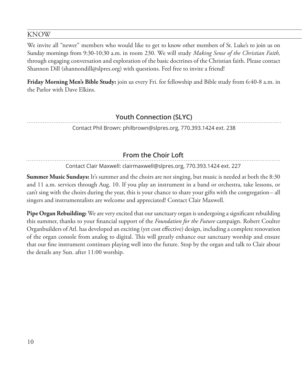## KNOW

We invite all "newer" members who would like to get to know other members of St. Luke's to join us on Sunday mornings from 9:30-10:30 a.m. in room 230. We will study *Making Sense of the Christian Faith,* through engaging conversation and exploration of the basic doctrines of the Christian faith. Please contact Shannon Dill (shannondill@slpres.org) with questions. Feel free to invite a friend!

**Friday Morning Men's Bible Study:** join us every Fri. for fellowship and Bible study from 6:40-8 a.m. in the Parlor with Dave Elkins.

# **Youth Connection (SLYC)**

Contact Phil Brown: philbrown@slpres.org, 770.393.1424 ext. 238

# **From the Choir Loft**

Contact Clair Maxwell: clairmaxwell@slpres.org, 770.393.1424 ext. 227

**Summer Music Sundays:** It's summer and the choirs are not singing, but music is needed at both the 8:30 and 11 a.m. services through Aug. 10. If you play an instrument in a band or orchestra, take lessons, or can't sing with the choirs during the year, this is your chance to share your gifts with the congregation– all singers and instrumentalists are welcome and appreciated! Contact Clair Maxwell.

**Pipe Organ Rebuilding:** We are very excited that our sanctuary organ is undergoing a significant rebuilding this summer, thanks to your financial support of the *Foundation for the Future* campaign. Robert Coulter Organbuilders of Atl. has developed an exciting (yet cost effective) design, including a complete renovation of the organ console from analog to digital. This will greatly enhance our sanctuary worship and ensure that our fine instrument continues playing well into the future. Stop by the organ and talk to Clair about the details any Sun. after 11:00 worship.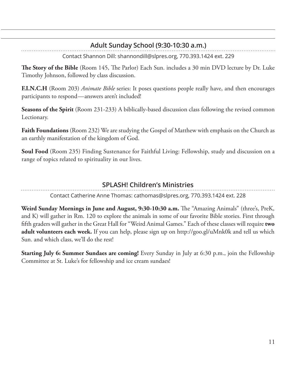# **Adult Sunday School (9:30-10:30 a.m.)**

Contact Shannon Dill: shannondill@slpres.org, 770.393.1424 ext. 229

**The Story of the Bible** (Room 145, The Parlor) Each Sun. includes a 30 min DVD lecture by Dr. Luke Timothy Johnson, followed by class discussion.

**F.I.N.C.H** (Room 203) *Animate Bible* series: It poses questions people really have, and then encourages participants to respond—answers aren't included!

**Seasons of the Spirit** (Room 231-233) A biblically-based discussion class following the revised common Lectionary.

**Faith Foundations** (Room 232) We are studying the Gospel of Matthew with emphasis on the Church as an earthly manifestation of the kingdom of God.

**Soul Food** (Room 235) Finding Sustenance for Faithful Living: Fellowship, study and discussion on a range of topics related to spirituality in our lives.

# **SPLASH! Children's Ministries**

Contact Catherine Anne Thomas: cathomas@slpres.org, 770.393.1424 ext. 228

**Weird Sunday Mornings in June and August, 9:30-10:30 a.m.** The "Amazing Animals" (three's, PreK, and K) will gather in Rm. 120 to explore the animals in some of our favorite Bible stories. First through fifth graders will gather in the Great Hall for "Weird Animal Games." Each of these classes will require **two adult volunteers each week.** If you can help, please sign up on http://goo.gl/uMnk0k and tell us which Sun. and which class, we'll do the rest!

**Starting July 6: Summer Sundaes are coming!** Every Sunday in July at 6:30 p.m., join the Fellowship Committee at St. Luke's for fellowship and ice cream sundaes!